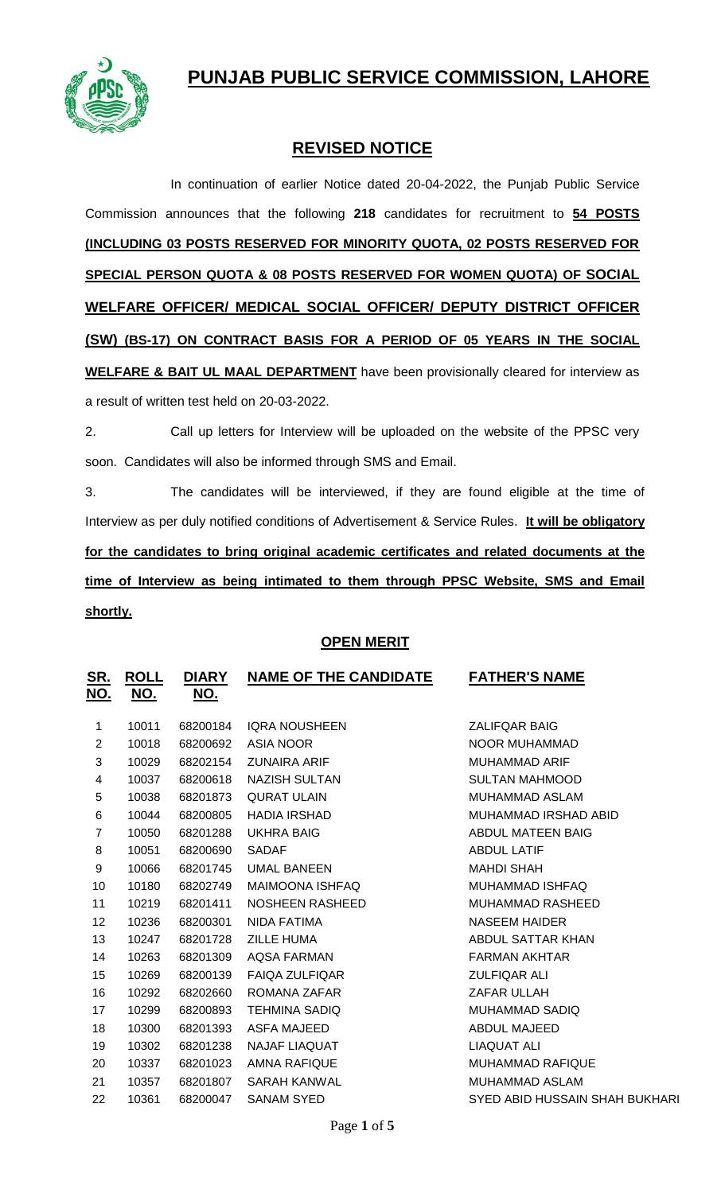# **PUNJAB PUBLIC SERVICE COMMISSION, LAHORE**



## **REVISED NOTICE**

In continuation of earlier Notice dated 20-04-2022, the Punjab Public Service Commission announces that the following **218** candidates for recruitment to **54 POSTS (INCLUDING 03 POSTS RESERVED FOR MINORITY QUOTA, 02 POSTS RESERVED FOR SPECIAL PERSON QUOTA & 08 POSTS RESERVED FOR WOMEN QUOTA) OF SOCIAL WELFARE OFFICER/ MEDICAL SOCIAL OFFICER/ DEPUTY DISTRICT OFFICER (SW) (BS-17) ON CONTRACT BASIS FOR A PERIOD OF 05 YEARS IN THE SOCIAL WELFARE & BAIT UL MAAL DEPARTMENT** have been provisionally cleared for interview as a result of written test held on 20-03-2022.

2. Call up letters for Interview will be uploaded on the website of the PPSC very soon. Candidates will also be informed through SMS and Email.

3. The candidates will be interviewed, if they are found eligible at the time of Interview as per duly notified conditions of Advertisement & Service Rules. **It will be obligatory for the candidates to bring original academic certificates and related documents at the time of Interview as being intimated to them through PPSC Website, SMS and Email shortly.**

### **OPEN MERIT**

| <u>SR.</u><br><u>NO.</u> | <b>ROLL</b><br><u>NO.</u> | <b>DIARY</b><br><u>NO.</u> | <b>NAME OF THE CANDIDATE</b> | <b>FATHER'S NAME</b>           |
|--------------------------|---------------------------|----------------------------|------------------------------|--------------------------------|
| 1                        | 10011                     | 68200184                   | <b>IQRA NOUSHEEN</b>         | <b>ZALIFQAR BAIG</b>           |
| $\overline{2}$           | 10018                     | 68200692                   | <b>ASIA NOOR</b>             | NOOR MUHAMMAD                  |
| 3                        | 10029                     | 68202154                   | <b>ZUNAIRA ARIF</b>          | <b>MUHAMMAD ARIF</b>           |
| 4                        | 10037                     | 68200618                   | <b>NAZISH SULTAN</b>         | <b>SULTAN MAHMOOD</b>          |
| 5                        | 10038                     | 68201873                   | <b>QURAT ULAIN</b>           | MUHAMMAD ASLAM                 |
| 6                        | 10044                     | 68200805                   | <b>HADIA IRSHAD</b>          | MUHAMMAD IRSHAD ABID           |
| $\overline{7}$           | 10050                     | 68201288                   | <b>UKHRA BAIG</b>            | ABDUL MATEEN BAIG              |
| 8                        | 10051                     | 68200690                   | <b>SADAF</b>                 | <b>ABDUL LATIF</b>             |
| 9                        | 10066                     | 68201745                   | <b>UMAL BANEEN</b>           | <b>MAHDI SHAH</b>              |
| 10                       | 10180                     | 68202749                   | <b>MAIMOONA ISHFAQ</b>       | <b>MUHAMMAD ISHFAQ</b>         |
| 11                       | 10219                     | 68201411                   | <b>NOSHEEN RASHEED</b>       | <b>MUHAMMAD RASHEED</b>        |
| 12 <sub>2</sub>          | 10236                     | 68200301                   | NIDA FATIMA                  | <b>NASEEM HAIDER</b>           |
| 13                       | 10247                     | 68201728                   | <b>ZILLE HUMA</b>            | ABDUL SATTAR KHAN              |
| 14                       | 10263                     | 68201309                   | <b>AQSA FARMAN</b>           | <b>FARMAN AKHTAR</b>           |
| 15                       | 10269                     | 68200139                   | <b>FAIQA ZULFIQAR</b>        | <b>ZULFIQAR ALI</b>            |
| 16                       | 10292                     | 68202660                   | ROMANA ZAFAR                 | ZAFAR ULLAH                    |
| 17                       | 10299                     | 68200893                   | <b>TEHMINA SADIO</b>         | MUHAMMAD SADIQ                 |
| 18                       | 10300                     | 68201393                   | <b>ASFA MAJEED</b>           | ABDUL MAJEED                   |
| 19                       | 10302                     | 68201238                   | <b>NAJAF LIAQUAT</b>         | LIAQUAT ALI                    |
| 20                       | 10337                     | 68201023                   | <b>AMNA RAFIQUE</b>          | <b>MUHAMMAD RAFIQUE</b>        |
| 21                       | 10357                     | 68201807                   | <b>SARAH KANWAL</b>          | MUHAMMAD ASLAM                 |
| 22                       | 10361                     | 68200047                   | <b>SANAM SYED</b>            | SYED ABID HUSSAIN SHAH BUKHARI |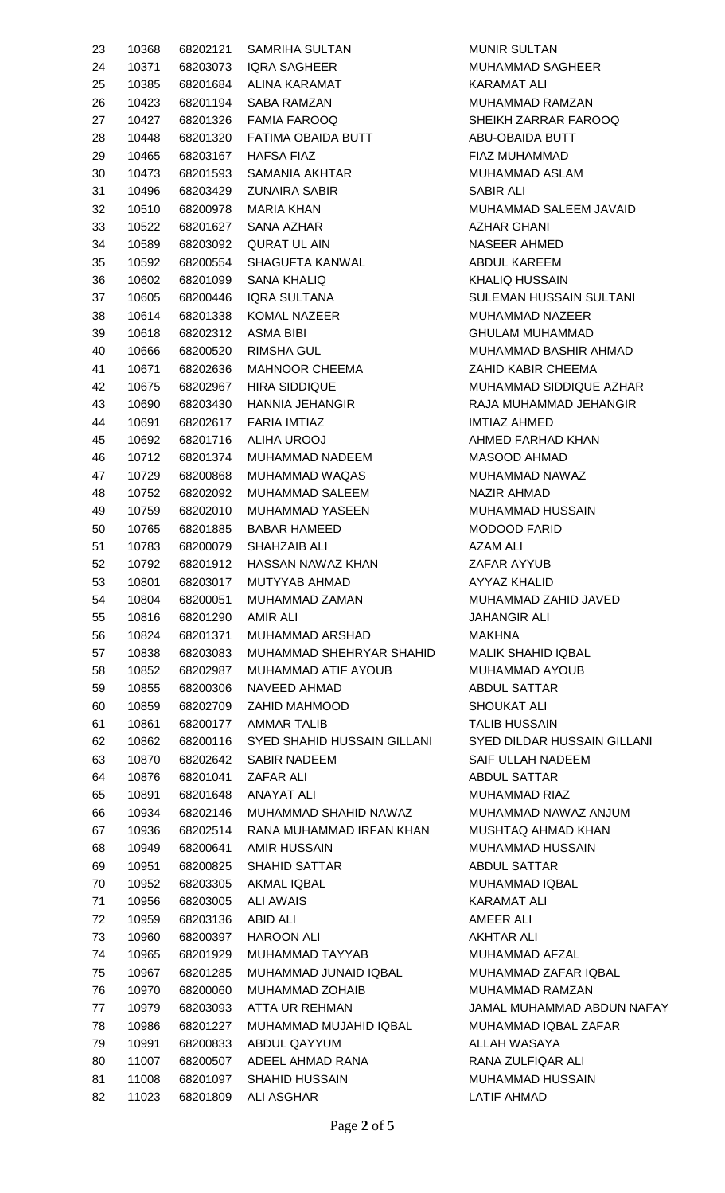| 23 | 10368 |                    | 68202121 SAMRIHA SULTAN              | <b>MUNIRS</b>   |
|----|-------|--------------------|--------------------------------------|-----------------|
| 24 | 10371 |                    | 68203073 IQRA SAGHEER                | <b>MUHAMN</b>   |
| 25 | 10385 |                    | 68201684 ALINA KARAMAT               | <b>KARAMA</b>   |
| 26 | 10423 |                    | 68201194 SABA RAMZAN                 | <b>MUHAMN</b>   |
| 27 |       |                    | 10427 68201326 FAMIA FAROOQ          | <b>SHEIKH 2</b> |
| 28 | 10448 |                    | 68201320 FATIMA OBAIDA BUTT          | ABU-OBA         |
| 29 | 10465 |                    | 68203167 HAFSA FIAZ                  | <b>FIAZ MUI</b> |
| 30 | 10473 |                    | 68201593 SAMANIA AKHTAR              | <b>MUHAMN</b>   |
| 31 | 10496 |                    | 68203429 ZUNAIRA SABIR               | <b>SABIR AL</b> |
| 32 | 10510 |                    | 68200978 MARIA KHAN                  | <b>MUHAMN</b>   |
| 33 | 10522 |                    | 68201627 SANA AZHAR                  | <b>AZHAR G</b>  |
| 34 | 10589 |                    | 68203092 QURAT UL AIN                | <b>NASEER</b>   |
| 35 | 10592 |                    | 68200554  SHAGUFTA KANWAL            | <b>ABDULK</b>   |
| 36 | 10602 |                    | 68201099 SANA KHALIQ                 | <b>KHALIQ I</b> |
| 37 | 10605 |                    | 68200446 IQRA SULTANA                | <b>SULEMAI</b>  |
| 38 | 10614 |                    | 68201338 KOMAL NAZEER                | <b>MUHAMN</b>   |
| 39 | 10618 | 68202312 ASMA BIBI |                                      | <b>GHULAM</b>   |
|    | 10666 |                    | 68200520 RIMSHA GUL                  | <b>MUHAMN</b>   |
| 40 |       |                    |                                      |                 |
| 41 | 10671 |                    | 68202636 MAHNOOR CHEEMA              | ZAHID K/        |
| 42 | 10675 |                    | 68202967 HIRA SIDDIQUE               | <b>MUHAMN</b>   |
| 43 | 10690 |                    | 68203430 HANNIA JEHANGIR             | <b>RAJA MU</b>  |
| 44 | 10691 |                    | 68202617 FARIA IMTIAZ                | <b>IMTIAZ A</b> |
| 45 | 10692 |                    | 68201716 ALIHA UROOJ                 | <b>AHMED F</b>  |
| 46 | 10712 |                    | 68201374 MUHAMMAD NADEEM             | <b>MASOOD</b>   |
| 47 | 10729 |                    | 68200868 MUHAMMAD WAQAS              | <b>MUHAMN</b>   |
| 48 | 10752 |                    | 68202092 MUHAMMAD SALEEM             | <b>NAZIR AF</b> |
| 49 | 10759 |                    | 68202010 MUHAMMAD YASEEN             | <b>MUHAMN</b>   |
| 50 | 10765 |                    | 68201885 BABAR HAMEED                | <b>MODOOD</b>   |
| 51 | 10783 |                    | 68200079 SHAHZAIB ALI                | <b>AZAM AL</b>  |
| 52 | 10792 |                    | 68201912 HASSAN NAWAZ KHAN           | ZAFAR A         |
| 53 | 10801 |                    | 68203017 MUTYYAB AHMAD               | AYYAZ K         |
| 54 | 10804 |                    | 68200051 MUHAMMAD ZAMAN              | <b>MUHAMN</b>   |
| 55 | 10816 | 68201290 AMIR ALI  |                                      | <b>JAHANGI</b>  |
| 56 | 10824 |                    | 68201371 MUHAMMAD ARSHAD             | <b>MAKHNA</b>   |
| 57 | 10838 | 68203083           | MUHAMMAD SHEHRYAR SHAHID             | <b>MALIK SH</b> |
| 58 | 10852 | 68202987           | MUHAMMAD ATIF AYOUB                  | <b>MUHAMN</b>   |
| 59 | 10855 | 68200306           | <b>NAVEED AHMAD</b>                  | <b>ABDUL S</b>  |
| 60 | 10859 | 68202709           | ZAHID MAHMOOD                        | <b>SHOUKA</b>   |
| 61 | 10861 |                    | 68200177 AMMAR TALIB                 | <b>TALIB HL</b> |
| 62 | 10862 |                    | 68200116 SYED SHAHID HUSSAIN GILLANI | <b>SYED DIL</b> |
| 63 | 10870 | 68202642           | <b>SABIR NADEEM</b>                  | <b>SAIF ULL</b> |
| 64 | 10876 |                    | 68201041 ZAFAR ALI                   | <b>ABDUL S</b>  |
| 65 | 10891 |                    | 68201648 ANAYAT ALI                  | <b>MUHAMN</b>   |
| 66 | 10934 |                    | 68202146 MUHAMMAD SHAHID NAWAZ       | <b>MUHAMN</b>   |
| 67 | 10936 |                    | 68202514 RANA MUHAMMAD IRFAN KHAN    | <b>MUSHTA</b>   |
| 68 | 10949 |                    | 68200641 AMIR HUSSAIN                | <b>MUHAMN</b>   |
| 69 | 10951 |                    | 68200825 SHAHID SATTAR               | <b>ABDUL S</b>  |
| 70 | 10952 |                    | 68203305 AKMAL IQBAL                 | <b>MUHAMN</b>   |
| 71 | 10956 |                    | 68203005 ALI AWAIS                   | <b>KARAMA</b>   |
| 72 | 10959 | 68203136 ABID ALI  |                                      | AMEER A         |
| 73 | 10960 |                    | 68200397 HAROON ALI                  | <b>AKHTAR</b>   |
| 74 | 10965 |                    | 68201929 MUHAMMAD TAYYAB             | <b>MUHAMN</b>   |
| 75 | 10967 | 68201285           | MUHAMMAD JUNAID IQBAL                | <b>MUHAMN</b>   |
| 76 | 10970 | 68200060           | MUHAMMAD ZOHAIB                      | <b>MUHAMN</b>   |
| 77 | 10979 | 68203093           | ATTA UR REHMAN                       | <b>JAMAL M</b>  |
| 78 | 10986 |                    | 68201227 MUHAMMAD MUJAHID IQBAL      | <b>MUHAMN</b>   |
| 79 | 10991 | 68200833           | ABDUL QAYYUM                         | <b>ALLAH W</b>  |
| 80 | 11007 |                    | 68200507 ADEEL AHMAD RANA            | <b>RANA ZU</b>  |
| 81 | 11008 |                    | 68201097 SHAHID HUSSAIN              | <b>MUHAMN</b>   |
| 82 |       |                    | 11023  68201809  ALI ASGHAR          | <b>LATIF AH</b> |
|    |       |                    |                                      |                 |

**MUNIR SULTAN** MUHAMMAD SAGHEER KARAMAT ALI MUHAMMAD RAMZAN SHEIKH ZARRAR FAROOQ ABU-OBAIDA BUTT FIAZ MUHAMMAD MUHAMMAD ASLAM SABIR ALI MUHAMMAD SALEEM JAVAID AZHAR GHANI NASEER AHMED ABDUL KAREEM KHALIQ HUSSAIN SULEMAN HUSSAIN SULTANI MUHAMMAD NAZEER **GHULAM MUHAMMAD** MUHAMMAD BASHIR AHMAD ZAHID KABIR CHEEMA MUHAMMAD SIDDIQUE AZHAR RAJA MUHAMMAD JEHANGIR **IMTIAZ AHMED** AHMED FARHAD KHAN MASOOD AHMAD MUHAMMAD NAWAZ NAZIR AHMAD MUHAMMAD HUSSAIN MODOOD FARID **AZAM ALI** ZAFAR AYYUB AYYAZ KHALID MUHAMMAD ZAHID JAVED **JAHANGIR ALI** MALIK SHAHID IQBAL MUHAMMAD AYOUB ABDUL SATTAR SHOUKAT ALI TALIB HUSSAIN **SYED DILDAR HUSSAIN GILLANI** SAIF ULLAH NADEEM **ABDUL SATTAR** MUHAMMAD RIAZ MUHAMMAD NAWAZ ANJUM MUSHTAQ AHMAD KHAN MUHAMMAD HUSSAIN ABDUL SATTAR MUHAMMAD IQBAL KARAMAT ALI AMEER ALI **AKHTAR ALI** MUHAMMAD AFZAL MUHAMMAD ZAFAR IQBAL MUHAMMAD RAMZAN JAMAL MUHAMMAD ABDUN NAFAY MUHAMMAD IQBAL ZAFAR ALLAH WASAYA RANA ZULFIQAR ALI MUHAMMAD HUSSAIN LATIF AHMAD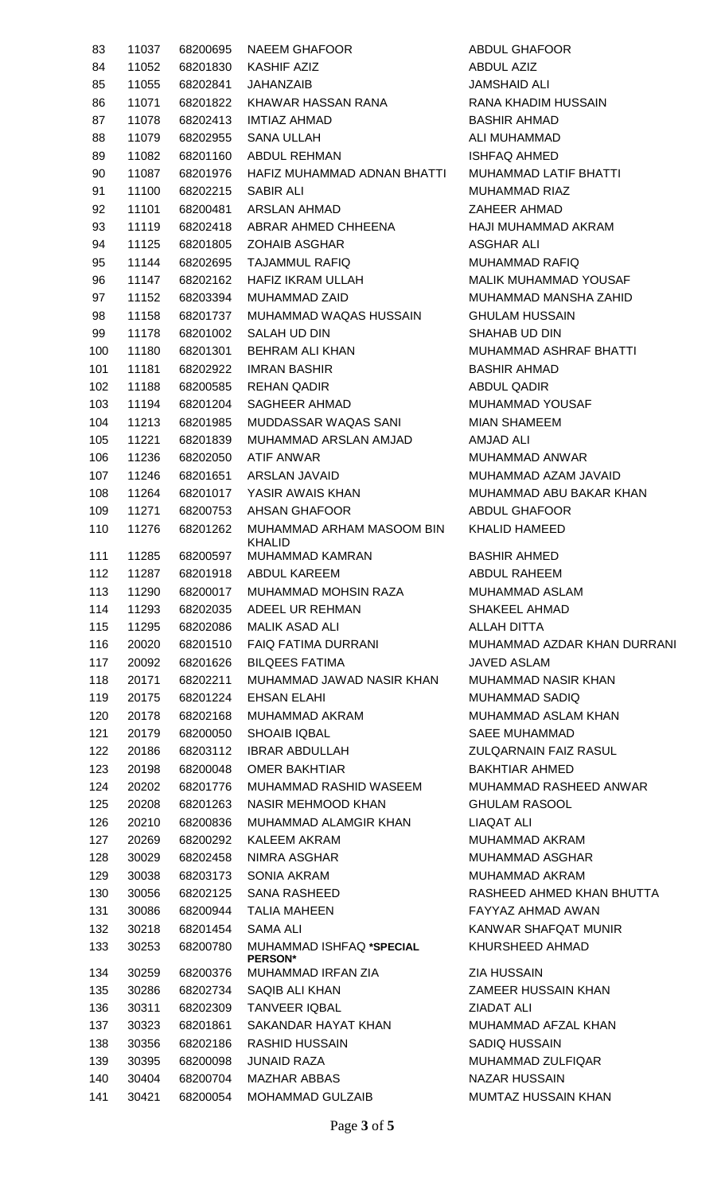| 83  | 11037 | 68200695 | <b>NAEEM GHAFOOR</b>                       | <b>ABDUL GHAFOOR</b>        |
|-----|-------|----------|--------------------------------------------|-----------------------------|
| 84  | 11052 | 68201830 | <b>KASHIF AZIZ</b>                         | <b>ABDUL AZIZ</b>           |
| 85  | 11055 | 68202841 | JAHANZAIB                                  | <b>JAMSHAID ALI</b>         |
| 86  | 11071 | 68201822 | KHAWAR HASSAN RANA                         | RANA KHADIM HUSSAIN         |
| 87  | 11078 | 68202413 | <b>IMTIAZ AHMAD</b>                        | <b>BASHIR AHMAD</b>         |
| 88  | 11079 | 68202955 | <b>SANA ULLAH</b>                          | ALI MUHAMMAD                |
| 89  | 11082 | 68201160 | <b>ABDUL REHMAN</b>                        | <b>ISHFAQ AHMED</b>         |
| 90  | 11087 | 68201976 | HAFIZ MUHAMMAD ADNAN BHATTI                | MUHAMMAD LATIF BHAT         |
| 91  | 11100 | 68202215 | <b>SABIR ALI</b>                           | <b>MUHAMMAD RIAZ</b>        |
| 92  | 11101 | 68200481 | <b>ARSLAN AHMAD</b>                        | <b>ZAHEER AHMAD</b>         |
| 93  | 11119 | 68202418 | ABRAR AHMED CHHEENA                        | <b>HAJI MUHAMMAD AKRAM</b>  |
|     |       |          |                                            |                             |
| 94  | 11125 | 68201805 | <b>ZOHAIB ASGHAR</b>                       | <b>ASGHAR ALI</b>           |
| 95  | 11144 | 68202695 | <b>TAJAMMUL RAFIQ</b>                      | <b>MUHAMMAD RAFIQ</b>       |
| 96  | 11147 | 68202162 | <b>HAFIZ IKRAM ULLAH</b>                   | <b>MALIK MUHAMMAD YOUS</b>  |
| 97  | 11152 | 68203394 | <b>MUHAMMAD ZAID</b>                       | MUHAMMAD MANSHA ZA          |
| 98  | 11158 | 68201737 | MUHAMMAD WAQAS HUSSAIN                     | <b>GHULAM HUSSAIN</b>       |
| 99  | 11178 | 68201002 | SALAH UD DIN                               | <b>SHAHAB UD DIN</b>        |
| 100 | 11180 | 68201301 | <b>BEHRAM ALI KHAN</b>                     | MUHAMMAD ASHRAF BH.         |
| 101 | 11181 | 68202922 | <b>IMRAN BASHIR</b>                        | <b>BASHIR AHMAD</b>         |
| 102 | 11188 | 68200585 | <b>REHAN QADIR</b>                         | <b>ABDUL QADIR</b>          |
| 103 | 11194 | 68201204 | SAGHEER AHMAD                              | MUHAMMAD YOUSAF             |
| 104 | 11213 | 68201985 | MUDDASSAR WAQAS SANI                       | <b>MIAN SHAMEEM</b>         |
| 105 | 11221 | 68201839 | MUHAMMAD ARSLAN AMJAD                      | <b>AMJAD ALI</b>            |
| 106 | 11236 | 68202050 | ATIF ANWAR                                 | <b>MUHAMMAD ANWAR</b>       |
| 107 | 11246 | 68201651 | <b>ARSLAN JAVAID</b>                       | MUHAMMAD AZAM JAVAI         |
| 108 | 11264 | 68201017 | YASIR AWAIS KHAN                           | MUHAMMAD ABU BAKAR          |
| 109 | 11271 | 68200753 | <b>AHSAN GHAFOOR</b>                       | <b>ABDUL GHAFOOR</b>        |
| 110 | 11276 | 68201262 | MUHAMMAD ARHAM MASOOM BIN<br><b>KHALID</b> | <b>KHALID HAMEED</b>        |
| 111 | 11285 | 68200597 | MUHAMMAD KAMRAN                            | <b>BASHIR AHMED</b>         |
| 112 |       |          | 11287 68201918 ABDUL KAREEM                | ABDUL RAHEEM                |
| 113 | 11290 | 68200017 | MUHAMMAD MOHSIN RAZA                       | MUHAMMAD ASLAM              |
| 114 | 11293 | 68202035 | ADEEL UR REHMAN                            | <b>SHAKEEL AHMAD</b>        |
| 115 | 11295 | 68202086 | <b>MALIK ASAD ALI</b>                      | ALLAH DITTA                 |
| 116 | 20020 | 68201510 | <b>FAIQ FATIMA DURRANI</b>                 | MUHAMMAD AZDAR KHA          |
| 117 | 20092 | 68201626 | <b>BILQEES FATIMA</b>                      | <b>JAVED ASLAM</b>          |
| 118 | 20171 | 68202211 | MUHAMMAD JAWAD NASIR KHAN                  | <b>MUHAMMAD NASIR KHAN</b>  |
| 119 | 20175 | 68201224 | <b>EHSAN ELAHI</b>                         | MUHAMMAD SADIQ              |
| 120 | 20178 | 68202168 | <b>MUHAMMAD AKRAM</b>                      | MUHAMMAD ASLAM KHA          |
| 121 | 20179 | 68200050 | <b>SHOAIB IQBAL</b>                        | <b>SAEE MUHAMMAD</b>        |
|     |       | 68203112 | <b>IBRAR ABDULLAH</b>                      | <b>ZULQARNAIN FAIZ RASU</b> |
| 122 | 20186 |          | <b>OMER BAKHTIAR</b>                       | <b>BAKHTIAR AHMED</b>       |
| 123 | 20198 | 68200048 |                                            |                             |
| 124 | 20202 | 68201776 | MUHAMMAD RASHID WASEEM                     | <b>MUHAMMAD RASHEED A</b>   |
| 125 | 20208 | 68201263 | <b>NASIR MEHMOOD KHAN</b>                  | <b>GHULAM RASOOL</b>        |
| 126 | 20210 | 68200836 | MUHAMMAD ALAMGIR KHAN                      | LIAQAT ALI                  |
| 127 | 20269 | 68200292 | <b>KALEEM AKRAM</b>                        | <b>MUHAMMAD AKRAM</b>       |
| 128 | 30029 | 68202458 | NIMRA ASGHAR                               | <b>MUHAMMAD ASGHAR</b>      |
| 129 | 30038 | 68203173 | <b>SONIA AKRAM</b>                         | <b>MUHAMMAD AKRAM</b>       |
| 130 | 30056 | 68202125 | <b>SANA RASHEED</b>                        | RASHEED AHMED KHAN          |
| 131 | 30086 | 68200944 | <b>TALIA MAHEEN</b>                        | FAYYAZ AHMAD AWAN           |
| 132 | 30218 | 68201454 | SAMA ALI                                   | KANWAR SHAFQAT MUNI         |
| 133 | 30253 | 68200780 | MUHAMMAD ISHFAQ *SPECIAL<br><b>PERSON*</b> | KHURSHEED AHMAD             |
| 134 | 30259 | 68200376 | MUHAMMAD IRFAN ZIA                         | <b>ZIA HUSSAIN</b>          |
| 135 | 30286 | 68202734 | SAQIB ALI KHAN                             | ZAMEER HUSSAIN KHAN         |
| 136 | 30311 | 68202309 | <b>TANVEER IQBAL</b>                       | <b>ZIADAT ALI</b>           |
| 137 | 30323 | 68201861 | SAKANDAR HAYAT KHAN                        | MUHAMMAD AFZAL KHAN         |
| 138 | 30356 | 68202186 | <b>RASHID HUSSAIN</b>                      | <b>SADIQ HUSSAIN</b>        |
| 139 | 30395 | 68200098 | <b>JUNAID RAZA</b>                         | MUHAMMAD ZULFIQAR           |
| 140 | 30404 | 68200704 | <b>MAZHAR ABBAS</b>                        | <b>NAZAR HUSSAIN</b>        |
| 141 | 30421 | 68200054 | <b>MOHAMMAD GULZAIB</b>                    | MUMTAZ HUSSAIN KHAN         |

ABDUL AZIZ **JAMSHAID ALI** RANA KHADIM HUSSAIN BASHIR AHMAD ALI MUHAMMAD **ISHFAQ AHMED** MUHAMMAD LATIF BHATTI MUHAMMAD RIAZ ZAHEER AHMAD HAJI MUHAMMAD AKRAM **ASGHAR ALI** MUHAMMAD RAFIQ MALIK MUHAMMAD YOUSAF MUHAMMAD MANSHA ZAHID **GHULAM HUSSAIN** SHAHAB UD DIN MUHAMMAD ASHRAF BHATTI BASHIR AHMAD ABDUL QADIR MUHAMMAD YOUSAF MIAN SHAMEEM AMJAD ALI MUHAMMAD ANWAR MUHAMMAD AZAM JAVAID MUHAMMAD ABU BAKAR KHAN ABDUL GHAFOOR KHALID HAMEED BASHIR AHMED ABDUL RAHEEM MUHAMMAD ASLAM SHAKEEL AHMAD ALLAH DITTA MUHAMMAD AZDAR KHAN DURRANI JAVED ASLAM MUHAMMAD NASIR KHAN MUHAMMAD SADIQ MUHAMMAD ASLAM KHAN SAEE MUHAMMAD ZULQARNAIN FAIZ RASUL BAKHTIAR AHMED MUHAMMAD RASHEED ANWAR **GHULAM RASOOL** LIAQAT ALI MUHAMMAD AKRAM MUHAMMAD ASGHAR MUHAMMAD AKRAM RASHEED AHMED KHAN BHUTTA FAYYAZ AHMAD AWAN KANWAR SHAFQAT MUNIR KHURSHEED AHMAD **7IA HUSSAIN** ZAMEER HUSSAIN KHAN ZIADAT ALI MUHAMMAD AFZAL KHAN SADIQ HUSSAIN MUHAMMAD ZULFIQAR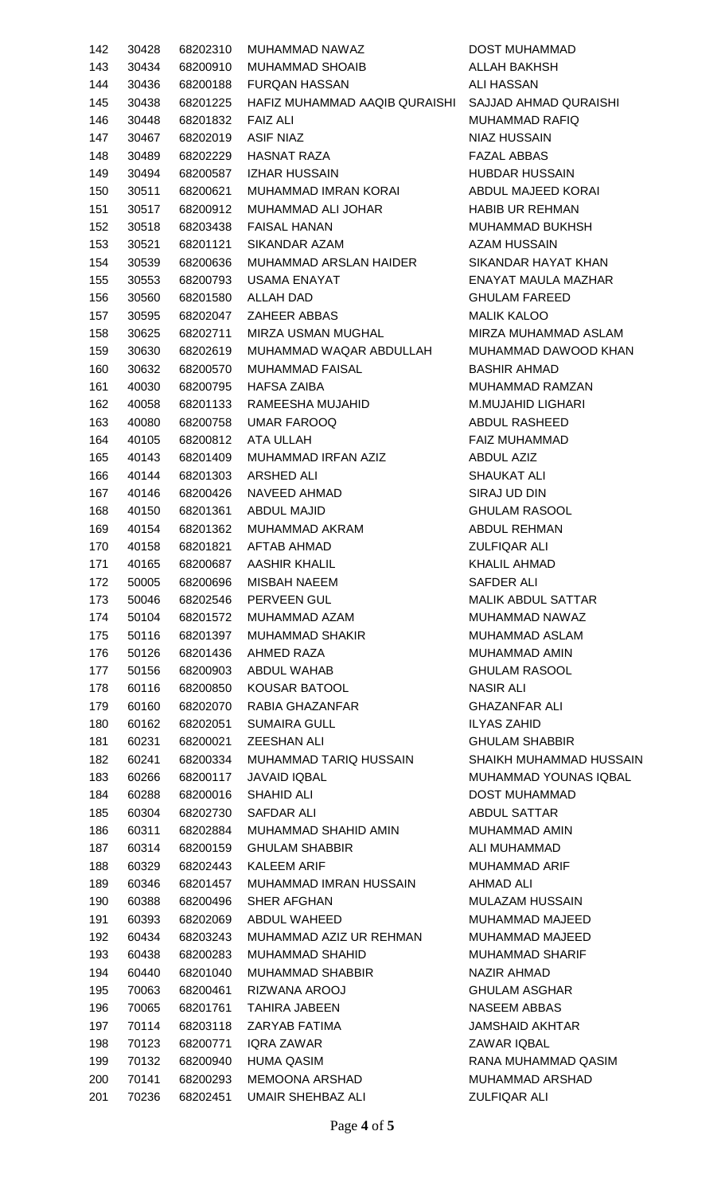| 142 | 30428 | 68202310 | MUHAMMAD NAWAZ                |
|-----|-------|----------|-------------------------------|
| 143 | 30434 | 68200910 | MUHAMMAD SHOAIB               |
| 144 | 30436 | 68200188 | <b>FURQAN HASSAN</b>          |
| 145 | 30438 | 68201225 | HAFIZ MUHAMMAD AAQIB QURAISHI |
| 146 | 30448 | 68201832 | FAIZ ALI                      |
| 147 | 30467 | 68202019 | ASIF NIAZ                     |
| 148 | 30489 | 68202229 | HASNAT RAZA                   |
| 149 | 30494 | 68200587 | <b>IZHAR HUSSAIN</b>          |
| 150 | 30511 | 68200621 | MUHAMMAD IMRAN KORAI          |
| 151 | 30517 | 68200912 | MUHAMMAD ALI JOHAR            |
| 152 | 30518 | 68203438 | FAISAL HANAN                  |
| 153 | 30521 | 68201121 | SIKANDAR AZAM                 |
| 154 | 30539 | 68200636 | MUHAMMAD ARSLAN HAIDER        |
| 155 | 30553 | 68200793 | USAMA ENAYAT                  |
| 156 | 30560 | 68201580 | <b>ALLAH DAD</b>              |
| 157 | 30595 | 68202047 | <b>ZAHEER ABBAS</b>           |
| 158 | 30625 | 68202711 | MIRZA USMAN MUGHAL            |
| 159 | 30630 | 68202619 | MUHAMMAD WAQAR ABDULLAH       |
| 160 | 30632 | 68200570 | <b>MUHAMMAD FAISAL</b>        |
| 161 | 40030 | 68200795 | HAFSA ZAIBA                   |
|     |       |          |                               |
| 162 | 40058 | 68201133 | RAMEESHA MUJAHID              |
| 163 | 40080 | 68200758 | UMAR FAROOQ                   |
| 164 | 40105 | 68200812 | ATA ULLAH                     |
| 165 | 40143 | 68201409 | MUHAMMAD IRFAN AZIZ           |
| 166 | 40144 | 68201303 | ARSHED ALI                    |
| 167 | 40146 | 68200426 | NAVEED AHMAD                  |
| 168 | 40150 | 68201361 | <b>ABDUL MAJID</b>            |
| 169 | 40154 | 68201362 | MUHAMMAD AKRAM                |
| 170 | 40158 | 68201821 | AFTAB AHMAD                   |
| 171 | 40165 | 68200687 | AASHIR KHALIL                 |
| 172 | 50005 | 68200696 | <b>MISBAH NAEEM</b>           |
| 173 | 50046 | 68202546 | <b>PERVEEN GUL</b>            |
| 174 | 50104 | 68201572 | MUHAMMAD AZAM                 |
| 175 | 50116 | 68201397 | <b>MUHAMMAD SHAKIR</b>        |
| 176 | 50126 | 68201436 | AHMED RAZA                    |
| 177 | 50156 | 68200903 | ABDUL WAHAB                   |
| 178 | 60116 | 68200850 | <b>KOUSAR BATOOL</b>          |
| 179 | 60160 | 68202070 | RABIA GHAZANFAR               |
| 180 | 60162 | 68202051 | <b>SUMAIRA GULL</b>           |
| 181 | 60231 | 68200021 | ZEESHAN ALI                   |
| 182 | 60241 | 68200334 | MUHAMMAD TARIQ HUSSAIN        |
| 183 | 60266 | 68200117 | <b>JAVAID IQBAL</b>           |
| 184 | 60288 | 68200016 | <b>SHAHID ALI</b>             |
| 185 | 60304 |          | 68202730 SAFDAR ALI           |
| 186 | 60311 | 68202884 | MUHAMMAD SHAHID AMIN          |
| 187 | 60314 | 68200159 | <b>GHULAM SHABBIR</b>         |
| 188 | 60329 | 68202443 | <b>KALEEM ARIF</b>            |
| 189 | 60346 | 68201457 | MUHAMMAD IMRAN HUSSAIN        |
| 190 | 60388 | 68200496 | <b>SHER AFGHAN</b>            |
| 191 | 60393 | 68202069 | ABDUL WAHEED                  |
| 192 | 60434 | 68203243 | MUHAMMAD AZIZ UR REHMAN       |
| 193 | 60438 | 68200283 | <b>MUHAMMAD SHAHID</b>        |
| 194 | 60440 | 68201040 | <b>MUHAMMAD SHABBIR</b>       |
| 195 | 70063 | 68200461 | RIZWANA AROOJ                 |
| 196 | 70065 | 68201761 | <b>TAHIRA JABEEN</b>          |
| 197 | 70114 | 68203118 | ZARYAB FATIMA                 |
| 198 | 70123 | 68200771 | IQRA ZAWAR                    |
| 199 | 70132 | 68200940 | <b>HUMA QASIM</b>             |
| 200 | 70141 | 68200293 | MEMOONA ARSHAD                |
| 201 | 70236 | 68202451 | UMAIR SHEHBAZ ALI             |
|     |       |          |                               |

DOST MUHAMMAD ALLAH BAKHSH **ALI HASSAN** SAJJAD AHMAD QURAISHI MUHAMMAD RAFIQ **NIAZ HUSSAIN** FAZAL ABBAS **HUBDAR HUSSAIN** ABDUL MAJEED KORAI HABIB UR REHMAN MUHAMMAD BUKHSH AZAM HUSSAIN SIKANDAR HAYAT KHAN ENAYAT MAULA MAZHAR **GHULAM FAREED** MALIK KALOO MIRZA MUHAMMAD ASLAM MUHAMMAD DAWOOD KHAN BASHIR AHMAD MUHAMMAD RAMZAN M.MUJAHID LIGHARI ABDUL RASHEED FAIZ MUHAMMAD ABDUL AZIZ SHAUKAT ALI SIRAJ UD DIN **GHULAM RASOOL** ABDUL REHMAN **ZULFIQAR ALI** KHALIL AHMAD SAFDER ALI MALIK ABDUL SATTAR MUHAMMAD NAWAZ MUHAMMAD ASLAM MUHAMMAD AMIN **GHULAM RASOOL NASIR ALI** GHAZANFAR ALI **ILYAS ZAHID GHULAM SHABBIR** SHAIKH MUHAMMAD HUSSAIN MUHAMMAD YOUNAS IQBAL DOST MUHAMMAD **ABDUL SATTAR** MUHAMMAD AMIN ALI MUHAMMAD MUHAMMAD ARIF AHMAD ALI MULAZAM HUSSAIN MUHAMMAD MAJEED MUHAMMAD MAJEED MUHAMMAD SHARIF NAZIR AHMAD **GHULAM ASGHAR** NASEEM ABBAS JAMSHAID AKHTAR **ZAWAR IQBAL** RANA MUHAMMAD QASIM MUHAMMAD ARSHAD ZULFIQAR ALI